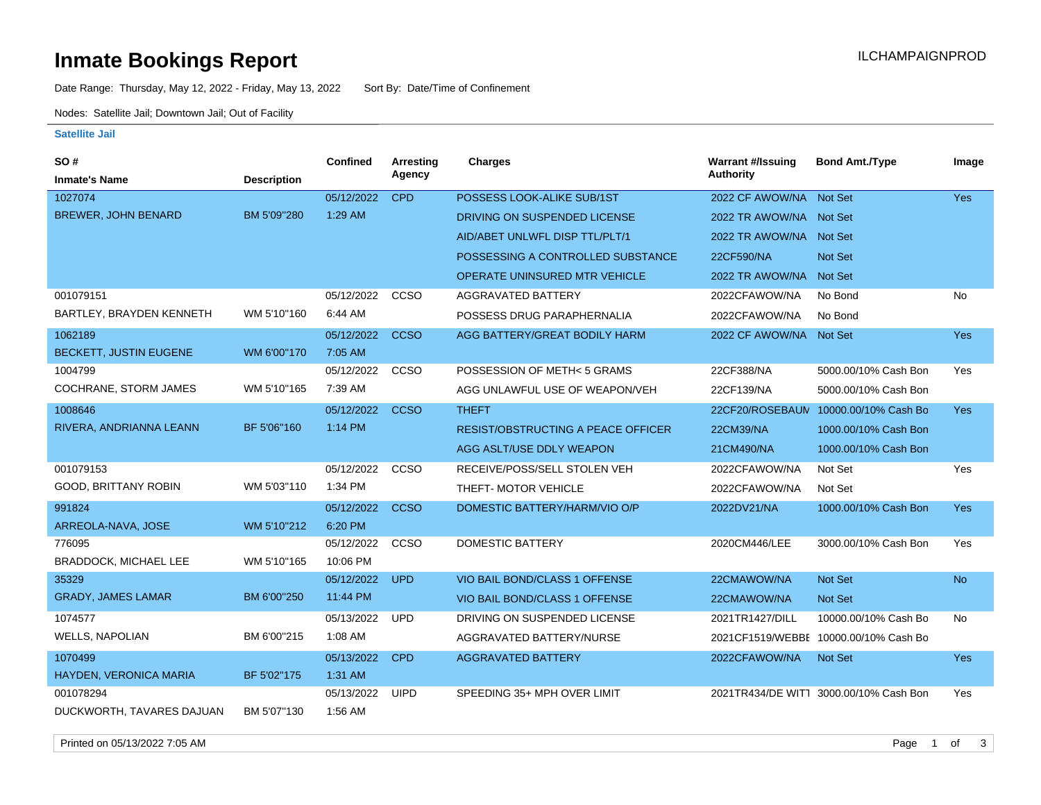# **Inmate Bookings Report Installation ILCHAMPAIGNPROD**

Date Range: Thursday, May 12, 2022 - Friday, May 13, 2022 Sort By: Date/Time of Confinement

Nodes: Satellite Jail; Downtown Jail; Out of Facility

#### **Satellite Jail**

| SO #                         |                    | Confined   | Arresting   | Charges                                   | <b>Warrant #/Issuing</b> | <b>Bond Amt./Type</b>                  | Image      |
|------------------------------|--------------------|------------|-------------|-------------------------------------------|--------------------------|----------------------------------------|------------|
| <b>Inmate's Name</b>         | <b>Description</b> |            | Agency      |                                           | <b>Authority</b>         |                                        |            |
| 1027074                      |                    | 05/12/2022 | <b>CPD</b>  | POSSESS LOOK-ALIKE SUB/1ST                | 2022 CF AWOW/NA          | <b>Not Set</b>                         | <b>Yes</b> |
| <b>BREWER, JOHN BENARD</b>   | BM 5'09"280        | 1:29 AM    |             | DRIVING ON SUSPENDED LICENSE              | 2022 TR AWOW/NA Not Set  |                                        |            |
|                              |                    |            |             | AID/ABET UNLWFL DISP TTL/PLT/1            | 2022 TR AWOW/NA Not Set  |                                        |            |
|                              |                    |            |             | POSSESSING A CONTROLLED SUBSTANCE         | 22CF590/NA               | <b>Not Set</b>                         |            |
|                              |                    |            |             | <b>OPERATE UNINSURED MTR VEHICLE</b>      | 2022 TR AWOW/NA          | <b>Not Set</b>                         |            |
| 001079151                    |                    | 05/12/2022 | CCSO        | <b>AGGRAVATED BATTERY</b>                 | 2022CFAWOW/NA            | No Bond                                | No         |
| BARTLEY, BRAYDEN KENNETH     | WM 5'10"160        | 6:44 AM    |             | POSSESS DRUG PARAPHERNALIA                | 2022CFAWOW/NA            | No Bond                                |            |
| 1062189                      |                    | 05/12/2022 | <b>CCSO</b> | AGG BATTERY/GREAT BODILY HARM             | 2022 CF AWOW/NA Not Set  |                                        | <b>Yes</b> |
| BECKETT, JUSTIN EUGENE       | WM 6'00"170        | 7:05 AM    |             |                                           |                          |                                        |            |
| 1004799                      |                    | 05/12/2022 | CCSO        | POSSESSION OF METH< 5 GRAMS               | 22CF388/NA               | 5000.00/10% Cash Bon                   | Yes        |
| COCHRANE, STORM JAMES        | WM 5'10"165        | 7:39 AM    |             | AGG UNLAWFUL USE OF WEAPON/VEH            | 22CF139/NA               | 5000.00/10% Cash Bon                   |            |
| 1008646                      |                    | 05/12/2022 | <b>CCSO</b> | <b>THEFT</b>                              | 22CF20/ROSEBAUN          | 10000.00/10% Cash Bo                   | <b>Yes</b> |
| RIVERA, ANDRIANNA LEANN      | BF 5'06"160        | 1:14 PM    |             | <b>RESIST/OBSTRUCTING A PEACE OFFICER</b> | 22CM39/NA                | 1000.00/10% Cash Bon                   |            |
|                              |                    |            |             | AGG ASLT/USE DDLY WEAPON                  | 21CM490/NA               | 1000.00/10% Cash Bon                   |            |
| 001079153                    |                    | 05/12/2022 | ccso        | RECEIVE/POSS/SELL STOLEN VEH              | 2022CFAWOW/NA            | Not Set                                | Yes        |
| GOOD, BRITTANY ROBIN         | WM 5'03"110        | 1:34 PM    |             | THEFT- MOTOR VEHICLE                      | 2022CFAWOW/NA            | Not Set                                |            |
| 991824                       |                    | 05/12/2022 | <b>CCSO</b> | DOMESTIC BATTERY/HARM/VIO O/P             | 2022DV21/NA              | 1000.00/10% Cash Bon                   | Yes        |
| ARREOLA-NAVA, JOSE           | WM 5'10"212        | 6:20 PM    |             |                                           |                          |                                        |            |
| 776095                       |                    | 05/12/2022 | CCSO        | <b>DOMESTIC BATTERY</b>                   | 2020CM446/LEE            | 3000.00/10% Cash Bon                   | Yes        |
| <b>BRADDOCK, MICHAEL LEE</b> | WM 5'10"165        | 10:06 PM   |             |                                           |                          |                                        |            |
| 35329                        |                    | 05/12/2022 | <b>UPD</b>  | VIO BAIL BOND/CLASS 1 OFFENSE             | 22CMAWOW/NA              | Not Set                                | <b>No</b>  |
| <b>GRADY, JAMES LAMAR</b>    | BM 6'00"250        | 11:44 PM   |             | VIO BAIL BOND/CLASS 1 OFFENSE             | 22CMAWOW/NA              | <b>Not Set</b>                         |            |
| 1074577                      |                    | 05/13/2022 | <b>UPD</b>  | DRIVING ON SUSPENDED LICENSE              | 2021TR1427/DILL          | 10000.00/10% Cash Bo                   | <b>No</b>  |
| <b>WELLS, NAPOLIAN</b>       | BM 6'00"215        | 1:08 AM    |             | AGGRAVATED BATTERY/NURSE                  |                          | 2021CF1519/WEBBE 10000.00/10% Cash Bo  |            |
| 1070499                      |                    | 05/13/2022 | <b>CPD</b>  | <b>AGGRAVATED BATTERY</b>                 | 2022CFAWOW/NA            | Not Set                                | <b>Yes</b> |
| HAYDEN, VERONICA MARIA       | BF 5'02"175        | $1:31$ AM  |             |                                           |                          |                                        |            |
| 001078294                    |                    | 05/13/2022 | <b>UIPD</b> | SPEEDING 35+ MPH OVER LIMIT               |                          | 2021TR434/DE WITT 3000.00/10% Cash Bon | Yes        |
| DUCKWORTH, TAVARES DAJUAN    | BM 5'07"130        | 1:56 AM    |             |                                           |                          |                                        |            |

Printed on 05/13/2022 7:05 AM Page 1 of 3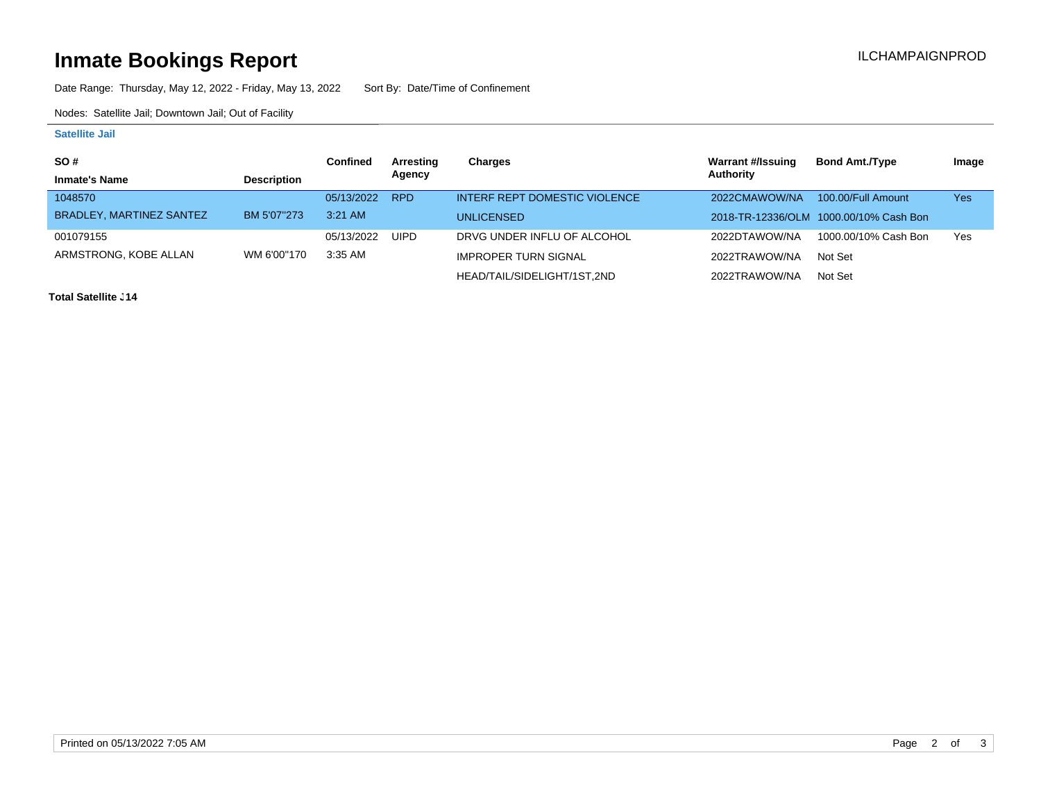# **Inmate Bookings Report Installation ILCHAMPAIGNPROD**

Date Range: Thursday, May 12, 2022 - Friday, May 13, 2022 Sort By: Date/Time of Confinement

Nodes: Satellite Jail; Downtown Jail; Out of Facility

### **Satellite Jail**

| <b>SO#</b>               |                    | Confined   | Arresting   | Charges                       | Warrant #/Issuing | <b>Bond Amt./Type</b>                  | Image |
|--------------------------|--------------------|------------|-------------|-------------------------------|-------------------|----------------------------------------|-------|
| <b>Inmate's Name</b>     | <b>Description</b> |            | Agency      |                               | Authority         |                                        |       |
| 1048570                  |                    | 05/13/2022 | <b>RPD</b>  | INTERF REPT DOMESTIC VIOLENCE | 2022CMAWOW/NA     | 100.00/Full Amount                     | Yes   |
| BRADLEY, MARTINEZ SANTEZ | BM 5'07"273        | $3:21$ AM  |             | <b>UNLICENSED</b>             |                   | 2018-TR-12336/OLM 1000.00/10% Cash Bon |       |
| 001079155                |                    | 05/13/2022 | <b>UIPD</b> | DRVG UNDER INFLU OF ALCOHOL   | 2022DTAWOW/NA     | 1000.00/10% Cash Bon                   | Yes   |
| ARMSTRONG, KOBE ALLAN    | WM 6'00"170        | 3:35 AM    |             | <b>IMPROPER TURN SIGNAL</b>   | 2022TRAWOW/NA     | Not Set                                |       |
|                          |                    |            |             | HEAD/TAIL/SIDELIGHT/1ST.2ND   | 2022TRAWOW/NA     | Not Set                                |       |

**Total Satellite <sub>-</sub> 14**